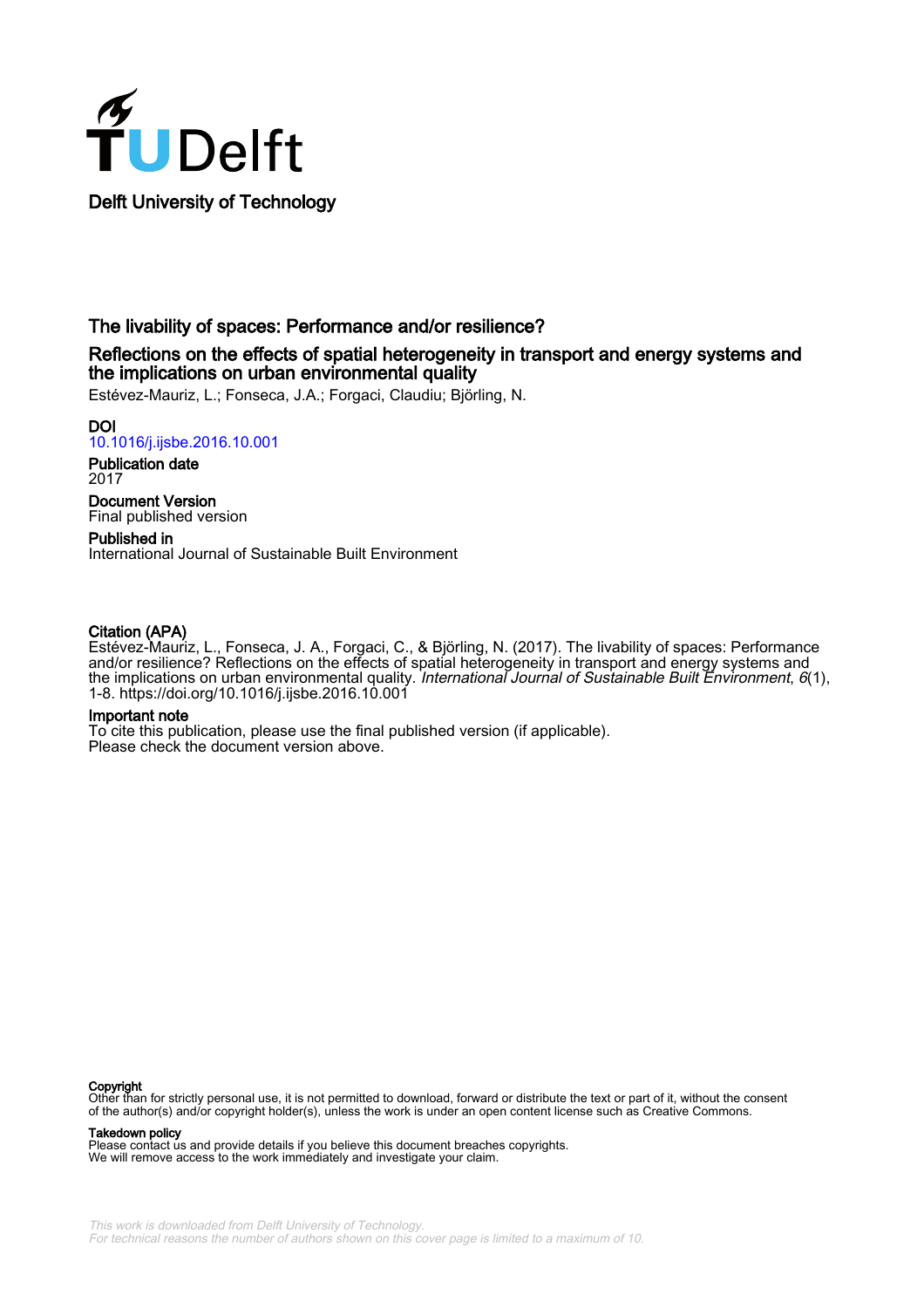

# The livability of spaces: Performance and/or resilience?

Reflections on the effects of spatial heterogeneity in transport and energy systems and the implications on urban environmental quality

Estévez-Mauriz, L.; Fonseca, J.A.; Forgaci, Claudiu; Björling, N.

DOI [10.1016/j.ijsbe.2016.10.001](https://doi.org/10.1016/j.ijsbe.2016.10.001)

Publication date 2017

Document Version Final published version

Published in International Journal of Sustainable Built Environment

# Citation (APA)

Estévez-Mauriz, L., Fonseca, J. A., Forgaci, C., & Björling, N. (2017). The livability of spaces: Performance and/or resilience? Reflections on the effects of spatial heterogeneity in transport and energy systems and the implications on urban environmental quality. International Journal of Sustainable Built Environment,  $6(1)$ , 1-8. <https://doi.org/10.1016/j.ijsbe.2016.10.001>

## Important note

To cite this publication, please use the final published version (if applicable). Please check the document version above.

#### Copyright

Other than for strictly personal use, it is not permitted to download, forward or distribute the text or part of it, without the consent of the author(s) and/or copyright holder(s), unless the work is under an open content license such as Creative Commons.

#### Takedown policy

Please contact us and provide details if you believe this document breaches copyrights. We will remove access to the work immediately and investigate your claim.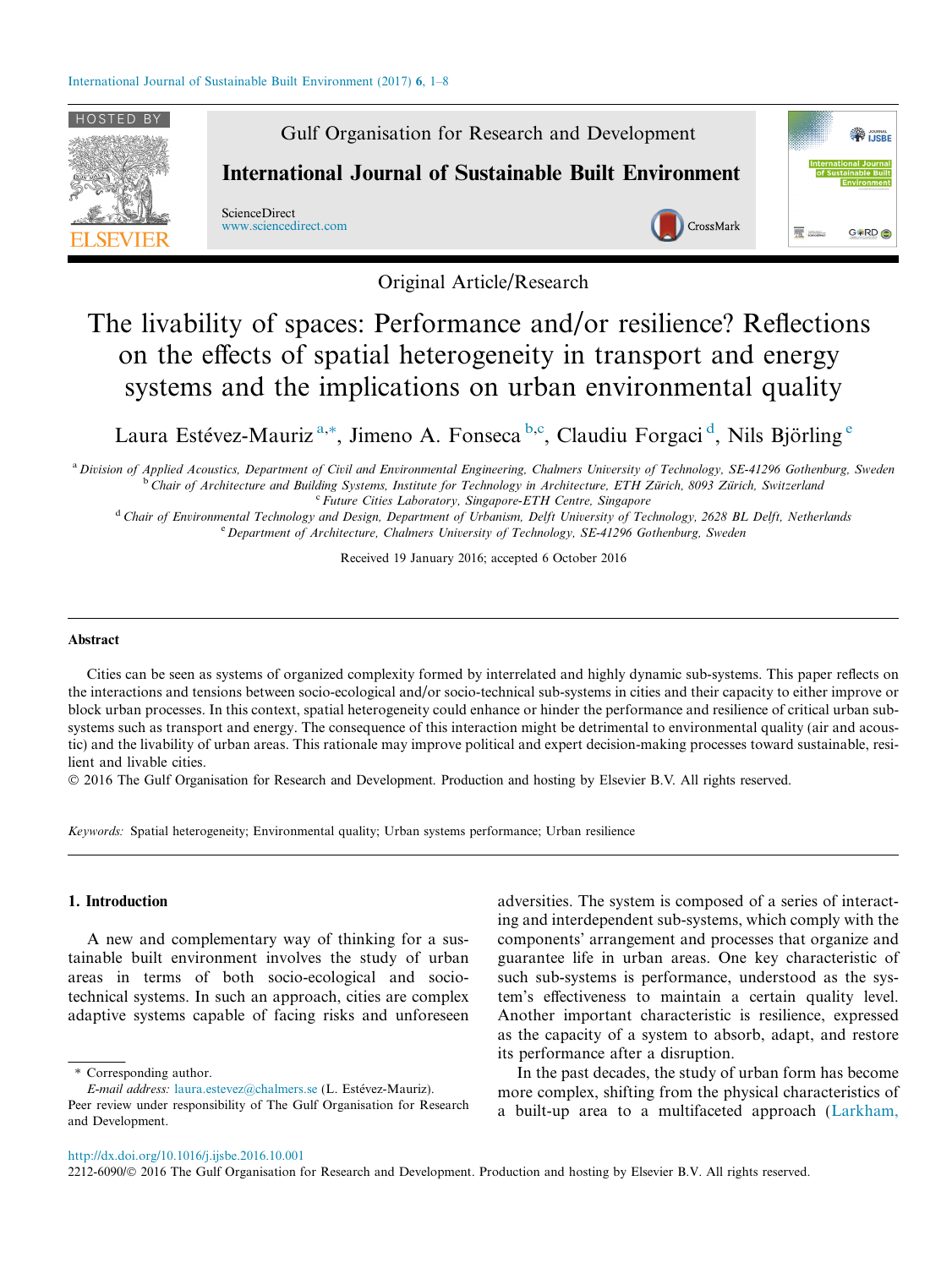

# Original Article/Research

# The livability of spaces: Performance and/or resilience? Reflections on the effects of spatial heterogeneity in transport and energy systems and the implications on urban environmental quality

Laura Estévez-Mauriz<sup>a,\*</sup>, Jimeno A. Fonseca <sup>b,c</sup>, Claudiu Forgaci<sup>d</sup>, Nils Björling<sup>e</sup>

<sup>a</sup> Division of Applied Acoustics, Department of Civil and Environmental Engineering, Chalmers University of Technology, SE-41296 Gothenburg, Sweden <sup>b</sup> Chair of Architecture and Building Systems, Institute for Technology in Architecture, ETH Zürich, 8093 Zürich, Switzerland <sup>c</sup> Future Cities Laboratory, Singapore-ETH Centre, Singapore

 $d$  Chair of Environmental Technology and Design, Department of Urbanism, Delft University of Technology, 2628 BL Delft, Netherlands <sup>e</sup> Department of Architecture, Chalmers University of Technology, SE-41296 Gothenburg, Sweden

Received 19 January 2016; accepted 6 October 2016

#### Abstract

Cities can be seen as systems of organized complexity formed by interrelated and highly dynamic sub-systems. This paper reflects on the interactions and tensions between socio-ecological and/or socio-technical sub-systems in cities and their capacity to either improve or block urban processes. In this context, spatial heterogeneity could enhance or hinder the performance and resilience of critical urban subsystems such as transport and energy. The consequence of this interaction might be detrimental to environmental quality (air and acoustic) and the livability of urban areas. This rationale may improve political and expert decision-making processes toward sustainable, resilient and livable cities.

2016 The Gulf Organisation for Research and Development. Production and hosting by Elsevier B.V. All rights reserved.

Keywords: Spatial heterogeneity; Environmental quality; Urban systems performance; Urban resilience

# 1. Introduction

A new and complementary way of thinking for a sustainable built environment involves the study of urban areas in terms of both socio-ecological and sociotechnical systems. In such an approach, cities are complex adaptive systems capable of facing risks and unforeseen

⇑ Corresponding author.

adversities. The system is composed of a series of interacting and interdependent sub-systems, which comply with the components' arrangement and processes that organize and guarantee life in urban areas. One key characteristic of such sub-systems is performance, understood as the system's effectiveness to maintain a certain quality level. Another important characteristic is resilience, expressed as the capacity of a system to absorb, adapt, and restore its performance after a disruption.

In the past decades, the study of urban form has become more complex, shifting from the physical characteristics of a built-up area to a multifaceted approach [\(Larkham,](#page-7-0)

2212-6090/@ 2016 The Gulf Organisation for Research and Development. Production and hosting by Elsevier B.V. All rights reserved.

E-mail address: [laura.estevez@chalmers.se](mailto:laura.estevez@chalmers.se) (L. Estévez-Mauriz).

Peer review under responsibility of The Gulf Organisation for Research and Development.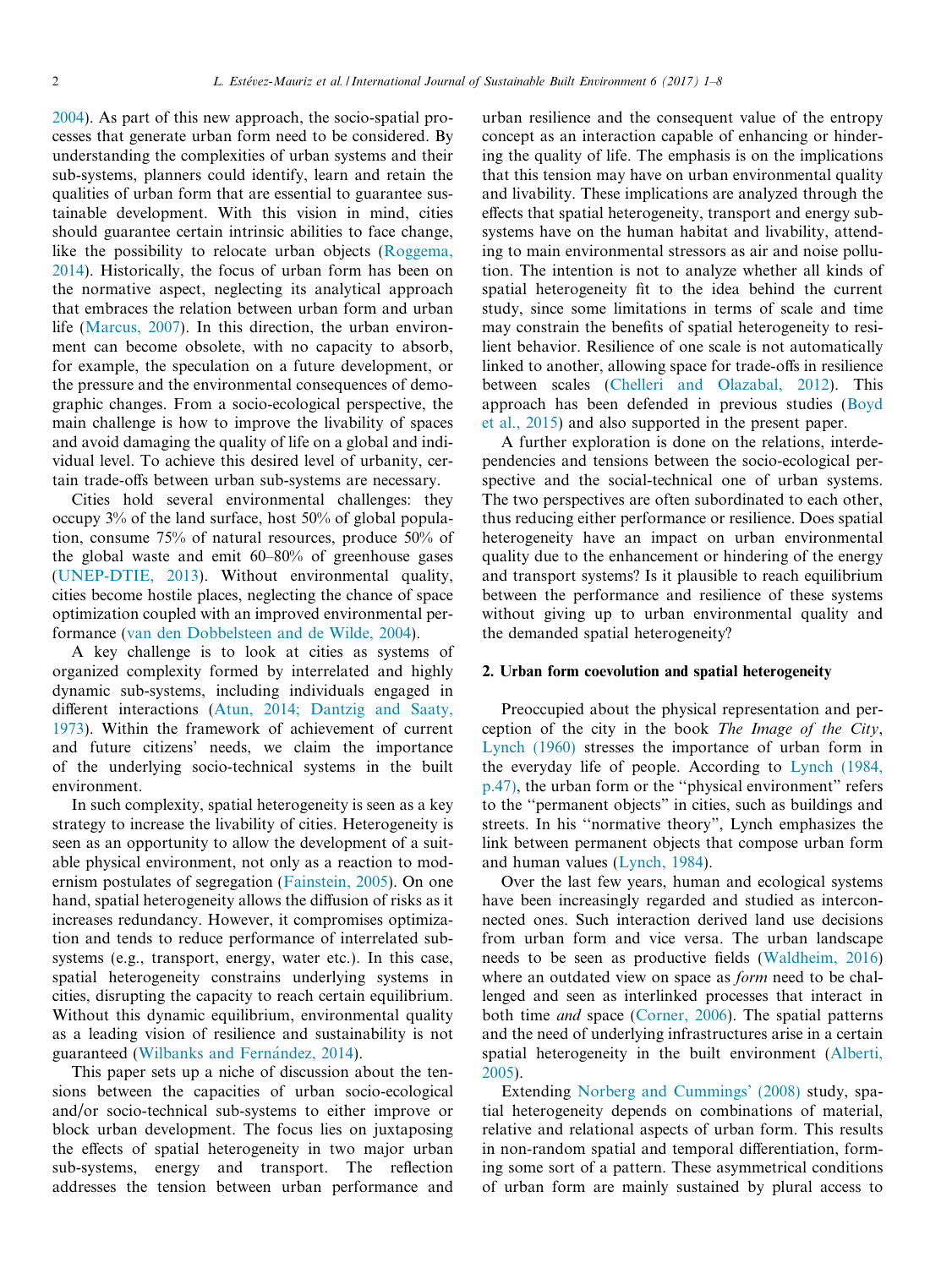[2004\)](#page-7-0). As part of this new approach, the socio-spatial processes that generate urban form need to be considered. By understanding the complexities of urban systems and their sub-systems, planners could identify, learn and retain the qualities of urban form that are essential to guarantee sustainable development. With this vision in mind, cities should guarantee certain intrinsic abilities to face change, like the possibility to relocate urban objects [\(Roggema,](#page-7-0) [2014\)](#page-7-0). Historically, the focus of urban form has been on the normative aspect, neglecting its analytical approach that embraces the relation between urban form and urban life [\(Marcus, 2007\)](#page-7-0). In this direction, the urban environment can become obsolete, with no capacity to absorb, for example, the speculation on a future development, or the pressure and the environmental consequences of demographic changes. From a socio-ecological perspective, the main challenge is how to improve the livability of spaces and avoid damaging the quality of life on a global and individual level. To achieve this desired level of urbanity, certain trade-offs between urban sub-systems are necessary.

Cities hold several environmental challenges: they occupy 3% of the land surface, host 50% of global population, consume 75% of natural resources, produce 50% of the global waste and emit 60–80% of greenhouse gases [\(UNEP-DTIE, 2013](#page-7-0)). Without environmental quality, cities become hostile places, neglecting the chance of space optimization coupled with an improved environmental performance [\(van den Dobbelsteen and de Wilde, 2004](#page-7-0)).

A key challenge is to look at cities as systems of organized complexity formed by interrelated and highly dynamic sub-systems, including individuals engaged in different interactions [\(Atun, 2014; Dantzig and Saaty,](#page-7-0) [1973\)](#page-7-0). Within the framework of achievement of current and future citizens' needs, we claim the importance of the underlying socio-technical systems in the built environment.

In such complexity, spatial heterogeneity is seen as a key strategy to increase the livability of cities. Heterogeneity is seen as an opportunity to allow the development of a suitable physical environment, not only as a reaction to modernism postulates of segregation [\(Fainstein, 2005\)](#page-7-0). On one hand, spatial heterogeneity allows the diffusion of risks as it increases redundancy. However, it compromises optimization and tends to reduce performance of interrelated subsystems (e.g., transport, energy, water etc.). In this case, spatial heterogeneity constrains underlying systems in cities, disrupting the capacity to reach certain equilibrium. Without this dynamic equilibrium, environmental quality as a leading vision of resilience and sustainability is not guaranteed (Wilbanks and Fernández, 2014).

This paper sets up a niche of discussion about the tensions between the capacities of urban socio-ecological and/or socio-technical sub-systems to either improve or block urban development. The focus lies on juxtaposing the effects of spatial heterogeneity in two major urban sub-systems, energy and transport. The reflection addresses the tension between urban performance and

urban resilience and the consequent value of the entropy concept as an interaction capable of enhancing or hindering the quality of life. The emphasis is on the implications that this tension may have on urban environmental quality and livability. These implications are analyzed through the effects that spatial heterogeneity, transport and energy subsystems have on the human habitat and livability, attending to main environmental stressors as air and noise pollution. The intention is not to analyze whether all kinds of spatial heterogeneity fit to the idea behind the current study, since some limitations in terms of scale and time may constrain the benefits of spatial heterogeneity to resilient behavior. Resilience of one scale is not automatically linked to another, allowing space for trade-offs in resilience between scales ([Chelleri and Olazabal, 2012\)](#page-7-0). This approach has been defended in previous studies [\(Boyd](#page-7-0) [et al., 2015](#page-7-0)) and also supported in the present paper.

A further exploration is done on the relations, interdependencies and tensions between the socio-ecological perspective and the social-technical one of urban systems. The two perspectives are often subordinated to each other, thus reducing either performance or resilience. Does spatial heterogeneity have an impact on urban environmental quality due to the enhancement or hindering of the energy and transport systems? Is it plausible to reach equilibrium between the performance and resilience of these systems without giving up to urban environmental quality and the demanded spatial heterogeneity?

#### 2. Urban form coevolution and spatial heterogeneity

Preoccupied about the physical representation and perception of the city in the book The Image of the City, [Lynch \(1960\)](#page-7-0) stresses the importance of urban form in the everyday life of people. According to [Lynch \(1984,](#page-7-0) [p.47\)](#page-7-0), the urban form or the ''physical environment" refers to the ''permanent objects" in cities, such as buildings and streets. In his ''normative theory", Lynch emphasizes the link between permanent objects that compose urban form and human values [\(Lynch, 1984](#page-7-0)).

Over the last few years, human and ecological systems have been increasingly regarded and studied as interconnected ones. Such interaction derived land use decisions from urban form and vice versa. The urban landscape needs to be seen as productive fields ([Waldheim, 2016](#page-8-0)) where an outdated view on space as *form* need to be challenged and seen as interlinked processes that interact in both time and space [\(Corner, 2006](#page-7-0)). The spatial patterns and the need of underlying infrastructures arise in a certain spatial heterogeneity in the built environment ([Alberti,](#page-7-0) [2005\)](#page-7-0).

Extending [Norberg and Cummings' \(2008\)](#page-7-0) study, spatial heterogeneity depends on combinations of material, relative and relational aspects of urban form. This results in non-random spatial and temporal differentiation, forming some sort of a pattern. These asymmetrical conditions of urban form are mainly sustained by plural access to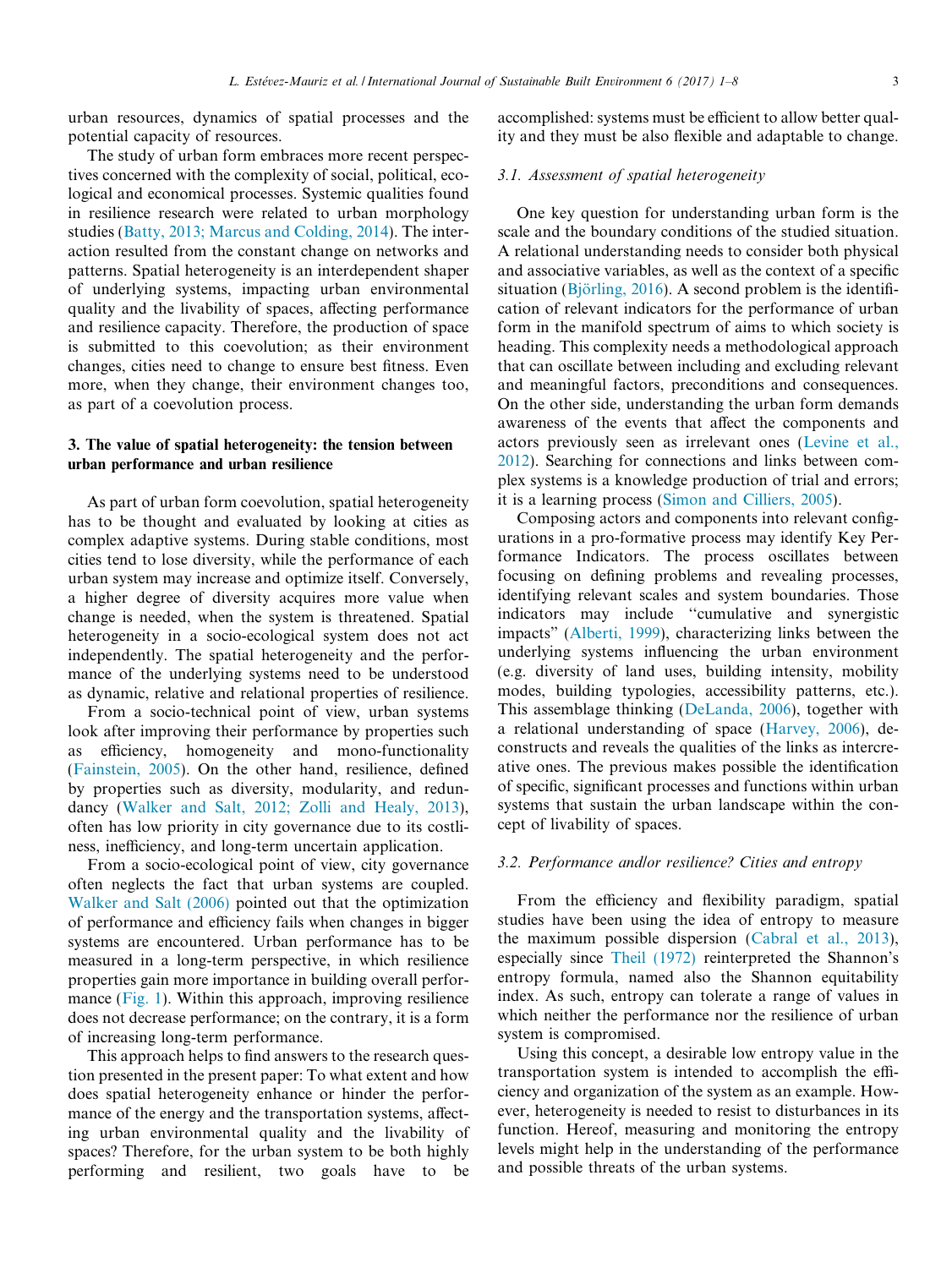urban resources, dynamics of spatial processes and the potential capacity of resources.

The study of urban form embraces more recent perspectives concerned with the complexity of social, political, ecological and economical processes. Systemic qualities found in resilience research were related to urban morphology studies [\(Batty, 2013; Marcus and Colding, 2014](#page-7-0)). The interaction resulted from the constant change on networks and patterns. Spatial heterogeneity is an interdependent shaper of underlying systems, impacting urban environmental quality and the livability of spaces, affecting performance and resilience capacity. Therefore, the production of space is submitted to this coevolution; as their environment changes, cities need to change to ensure best fitness. Even more, when they change, their environment changes too, as part of a coevolution process.

# 3. The value of spatial heterogeneity: the tension between urban performance and urban resilience

As part of urban form coevolution, spatial heterogeneity has to be thought and evaluated by looking at cities as complex adaptive systems. During stable conditions, most cities tend to lose diversity, while the performance of each urban system may increase and optimize itself. Conversely, a higher degree of diversity acquires more value when change is needed, when the system is threatened. Spatial heterogeneity in a socio-ecological system does not act independently. The spatial heterogeneity and the performance of the underlying systems need to be understood as dynamic, relative and relational properties of resilience.

From a socio-technical point of view, urban systems look after improving their performance by properties such as efficiency, homogeneity and mono-functionality ([Fainstein, 2005\)](#page-7-0). On the other hand, resilience, defined by properties such as diversity, modularity, and redundancy ([Walker and Salt, 2012; Zolli and Healy, 2013\)](#page-8-0), often has low priority in city governance due to its costliness, inefficiency, and long-term uncertain application.

From a socio-ecological point of view, city governance often neglects the fact that urban systems are coupled. [Walker and Salt \(2006\)](#page-8-0) pointed out that the optimization of performance and efficiency fails when changes in bigger systems are encountered. Urban performance has to be measured in a long-term perspective, in which resilience properties gain more importance in building overall perfor-mance [\(Fig. 1](#page-4-0)). Within this approach, improving resilience does not decrease performance; on the contrary, it is a form of increasing long-term performance.

This approach helps to find answers to the research question presented in the present paper: To what extent and how does spatial heterogeneity enhance or hinder the performance of the energy and the transportation systems, affecting urban environmental quality and the livability of spaces? Therefore, for the urban system to be both highly performing and resilient, two goals have to be

accomplished: systems must be efficient to allow better quality and they must be also flexible and adaptable to change.

## 3.1. Assessment of spatial heterogeneity

One key question for understanding urban form is the scale and the boundary conditions of the studied situation. A relational understanding needs to consider both physical and associative variables, as well as the context of a specific situation (Björling,  $2016$ ). A second problem is the identification of relevant indicators for the performance of urban form in the manifold spectrum of aims to which society is heading. This complexity needs a methodological approach that can oscillate between including and excluding relevant and meaningful factors, preconditions and consequences. On the other side, understanding the urban form demands awareness of the events that affect the components and actors previously seen as irrelevant ones ([Levine et al.,](#page-7-0) [2012](#page-7-0)). Searching for connections and links between complex systems is a knowledge production of trial and errors; it is a learning process ([Simon and Cilliers, 2005](#page-7-0)).

Composing actors and components into relevant configurations in a pro-formative process may identify Key Performance Indicators. The process oscillates between focusing on defining problems and revealing processes, identifying relevant scales and system boundaries. Those indicators may include ''cumulative and synergistic impacts" ([Alberti, 1999](#page-7-0)), characterizing links between the underlying systems influencing the urban environment (e.g. diversity of land uses, building intensity, mobility modes, building typologies, accessibility patterns, etc.). This assemblage thinking [\(DeLanda, 2006](#page-7-0)), together with a relational understanding of space [\(Harvey, 2006](#page-7-0)), deconstructs and reveals the qualities of the links as intercreative ones. The previous makes possible the identification of specific, significant processes and functions within urban systems that sustain the urban landscape within the concept of livability of spaces.

# 3.2. Performance and/or resilience? Cities and entropy

From the efficiency and flexibility paradigm, spatial studies have been using the idea of entropy to measure the maximum possible dispersion [\(Cabral et al., 2013\)](#page-7-0), especially since [Theil \(1972\)](#page-7-0) reinterpreted the Shannon's entropy formula, named also the Shannon equitability index. As such, entropy can tolerate a range of values in which neither the performance nor the resilience of urban system is compromised.

Using this concept, a desirable low entropy value in the transportation system is intended to accomplish the efficiency and organization of the system as an example. However, heterogeneity is needed to resist to disturbances in its function. Hereof, measuring and monitoring the entropy levels might help in the understanding of the performance and possible threats of the urban systems.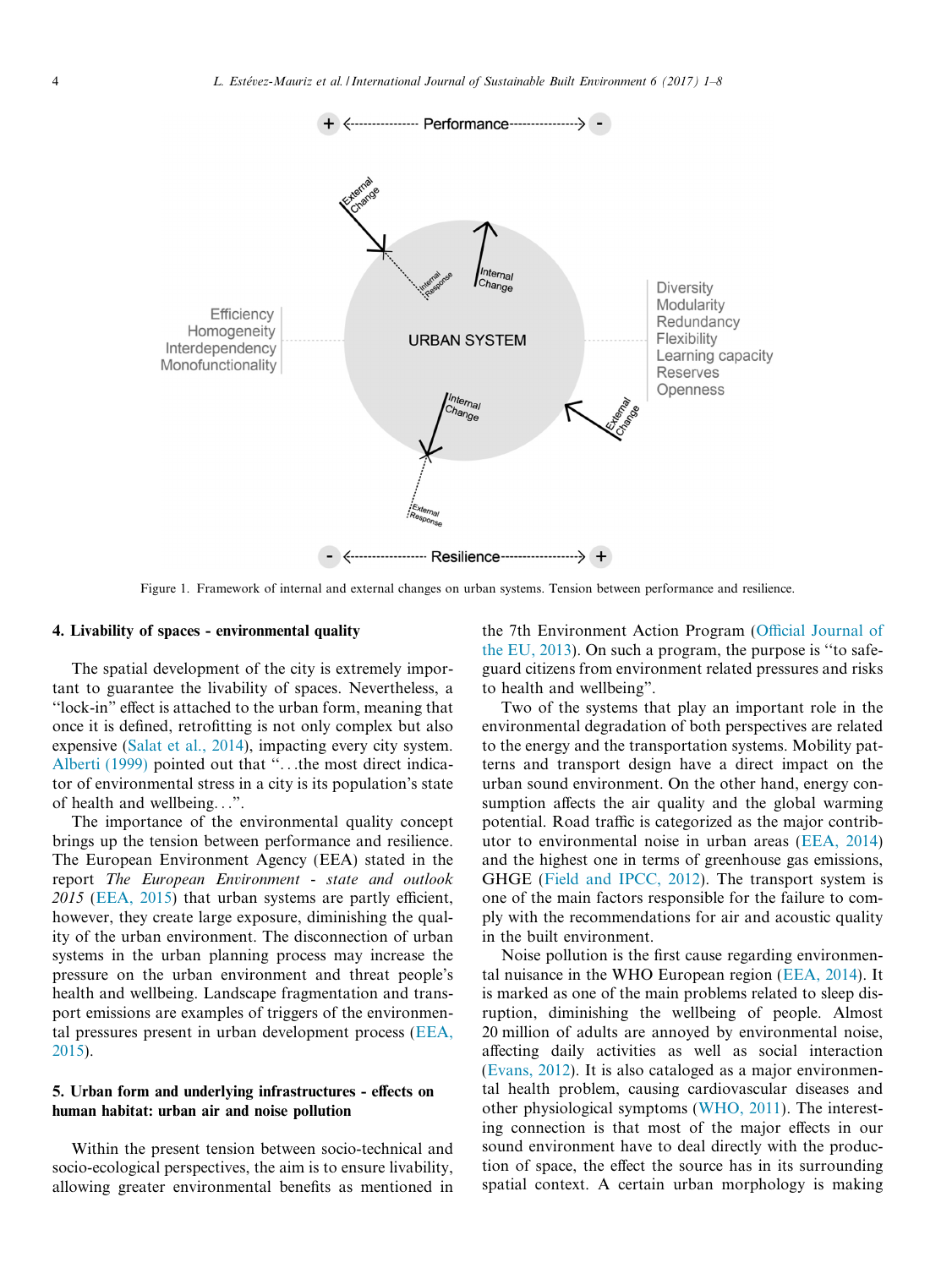<span id="page-4-0"></span>

Figure 1. Framework of internal and external changes on urban systems. Tension between performance and resilience.

#### 4. Livability of spaces - environmental quality

The spatial development of the city is extremely important to guarantee the livability of spaces. Nevertheless, a ''lock-in" effect is attached to the urban form, meaning that once it is defined, retrofitting is not only complex but also expensive [\(Salat et al., 2014\)](#page-7-0), impacting every city system. [Alberti \(1999\)](#page-7-0) pointed out that ''...the most direct indicator of environmental stress in a city is its population's state of health and wellbeing...".

The importance of the environmental quality concept brings up the tension between performance and resilience. The European Environment Agency (EEA) stated in the report The European Environment - state and outlook 2015 ([EEA, 2015\)](#page-7-0) that urban systems are partly efficient, however, they create large exposure, diminishing the quality of the urban environment. The disconnection of urban systems in the urban planning process may increase the pressure on the urban environment and threat people's health and wellbeing. Landscape fragmentation and transport emissions are examples of triggers of the environmental pressures present in urban development process [\(EEA,](#page-7-0) [2015\)](#page-7-0).

## 5. Urban form and underlying infrastructures - effects on human habitat: urban air and noise pollution

Within the present tension between socio-technical and socio-ecological perspectives, the aim is to ensure livability, allowing greater environmental benefits as mentioned in the 7th Environment Action Program [\(Official Journal of](#page-7-0) [the EU, 2013\)](#page-7-0). On such a program, the purpose is ''to safeguard citizens from environment related pressures and risks to health and wellbeing".

Two of the systems that play an important role in the environmental degradation of both perspectives are related to the energy and the transportation systems. Mobility patterns and transport design have a direct impact on the urban sound environment. On the other hand, energy consumption affects the air quality and the global warming potential. Road traffic is categorized as the major contributor to environmental noise in urban areas [\(EEA, 2014](#page-7-0)) and the highest one in terms of greenhouse gas emissions, GHGE ([Field and IPCC, 2012](#page-7-0)). The transport system is one of the main factors responsible for the failure to comply with the recommendations for air and acoustic quality in the built environment.

Noise pollution is the first cause regarding environmental nuisance in the WHO European region ([EEA, 2014\)](#page-7-0). It is marked as one of the main problems related to sleep disruption, diminishing the wellbeing of people. Almost 20 million of adults are annoyed by environmental noise, affecting daily activities as well as social interaction [\(Evans, 2012\)](#page-7-0). It is also cataloged as a major environmental health problem, causing cardiovascular diseases and other physiological symptoms [\(WHO, 2011\)](#page-8-0). The interesting connection is that most of the major effects in our sound environment have to deal directly with the production of space, the effect the source has in its surrounding spatial context. A certain urban morphology is making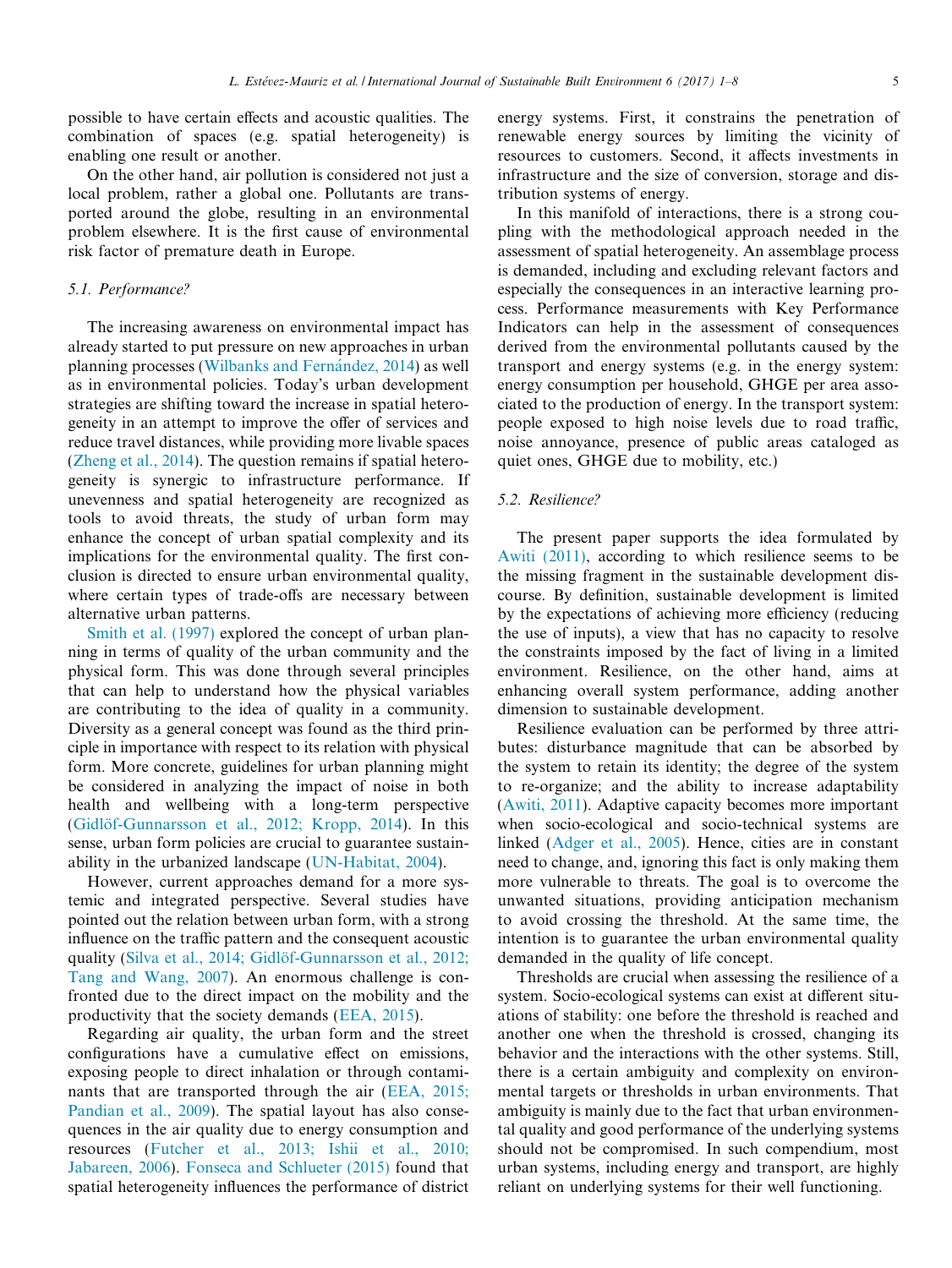possible to have certain effects and acoustic qualities. The combination of spaces (e.g. spatial heterogeneity) is enabling one result or another.

On the other hand, air pollution is considered not just a local problem, rather a global one. Pollutants are transported around the globe, resulting in an environmental problem elsewhere. It is the first cause of environmental risk factor of premature death in Europe.

## 5.1. Performance?

The increasing awareness on environmental impact has already started to put pressure on new approaches in urban planning processes (Wilbanks and Fernández, 2014) as well as in environmental policies. Today's urban development strategies are shifting toward the increase in spatial heterogeneity in an attempt to improve the offer of services and reduce travel distances, while providing more livable spaces ([Zheng et al., 2014](#page-8-0)). The question remains if spatial heterogeneity is synergic to infrastructure performance. If unevenness and spatial heterogeneity are recognized as tools to avoid threats, the study of urban form may enhance the concept of urban spatial complexity and its implications for the environmental quality. The first conclusion is directed to ensure urban environmental quality, where certain types of trade-offs are necessary between alternative urban patterns.

[Smith et al. \(1997\)](#page-7-0) explored the concept of urban planning in terms of quality of the urban community and the physical form. This was done through several principles that can help to understand how the physical variables are contributing to the idea of quality in a community. Diversity as a general concept was found as the third principle in importance with respect to its relation with physical form. More concrete, guidelines for urban planning might be considered in analyzing the impact of noise in both health and wellbeing with a long-term perspective (Gidlöf-Gunnarsson et al., 2012; Kropp, 2014). In this sense, urban form policies are crucial to guarantee sustainability in the urbanized landscape ([UN-Habitat, 2004\)](#page-7-0).

However, current approaches demand for a more systemic and integrated perspective. Several studies have pointed out the relation between urban form, with a strong influence on the traffic pattern and the consequent acoustic quality (Silva et al., 2014; Gidlöf-Gunnarsson et al., 2012; [Tang and Wang, 2007](#page-7-0)). An enormous challenge is confronted due to the direct impact on the mobility and the productivity that the society demands [\(EEA, 2015](#page-7-0)).

Regarding air quality, the urban form and the street configurations have a cumulative effect on emissions, exposing people to direct inhalation or through contaminants that are transported through the air [\(EEA, 2015;](#page-7-0) [Pandian et al., 2009\)](#page-7-0). The spatial layout has also consequences in the air quality due to energy consumption and resources ([Futcher et al., 2013; Ishii et al., 2010;](#page-7-0) [Jabareen, 2006\)](#page-7-0). [Fonseca and Schlueter \(2015\)](#page-7-0) found that spatial heterogeneity influences the performance of district energy systems. First, it constrains the penetration of renewable energy sources by limiting the vicinity of resources to customers. Second, it affects investments in infrastructure and the size of conversion, storage and distribution systems of energy.

In this manifold of interactions, there is a strong coupling with the methodological approach needed in the assessment of spatial heterogeneity. An assemblage process is demanded, including and excluding relevant factors and especially the consequences in an interactive learning process. Performance measurements with Key Performance Indicators can help in the assessment of consequences derived from the environmental pollutants caused by the transport and energy systems (e.g. in the energy system: energy consumption per household, GHGE per area associated to the production of energy. In the transport system: people exposed to high noise levels due to road traffic, noise annoyance, presence of public areas cataloged as quiet ones, GHGE due to mobility, etc.)

#### 5.2. Resilience?

The present paper supports the idea formulated by [Awiti \(2011\),](#page-7-0) according to which resilience seems to be the missing fragment in the sustainable development discourse. By definition, sustainable development is limited by the expectations of achieving more efficiency (reducing the use of inputs), a view that has no capacity to resolve the constraints imposed by the fact of living in a limited environment. Resilience, on the other hand, aims at enhancing overall system performance, adding another dimension to sustainable development.

Resilience evaluation can be performed by three attributes: disturbance magnitude that can be absorbed by the system to retain its identity; the degree of the system to re-organize; and the ability to increase adaptability ([Awiti, 2011](#page-7-0)). Adaptive capacity becomes more important when socio-ecological and socio-technical systems are linked ([Adger et al., 2005\)](#page-7-0). Hence, cities are in constant need to change, and, ignoring this fact is only making them more vulnerable to threats. The goal is to overcome the unwanted situations, providing anticipation mechanism to avoid crossing the threshold. At the same time, the intention is to guarantee the urban environmental quality demanded in the quality of life concept.

Thresholds are crucial when assessing the resilience of a system. Socio-ecological systems can exist at different situations of stability: one before the threshold is reached and another one when the threshold is crossed, changing its behavior and the interactions with the other systems. Still, there is a certain ambiguity and complexity on environmental targets or thresholds in urban environments. That ambiguity is mainly due to the fact that urban environmental quality and good performance of the underlying systems should not be compromised. In such compendium, most urban systems, including energy and transport, are highly reliant on underlying systems for their well functioning.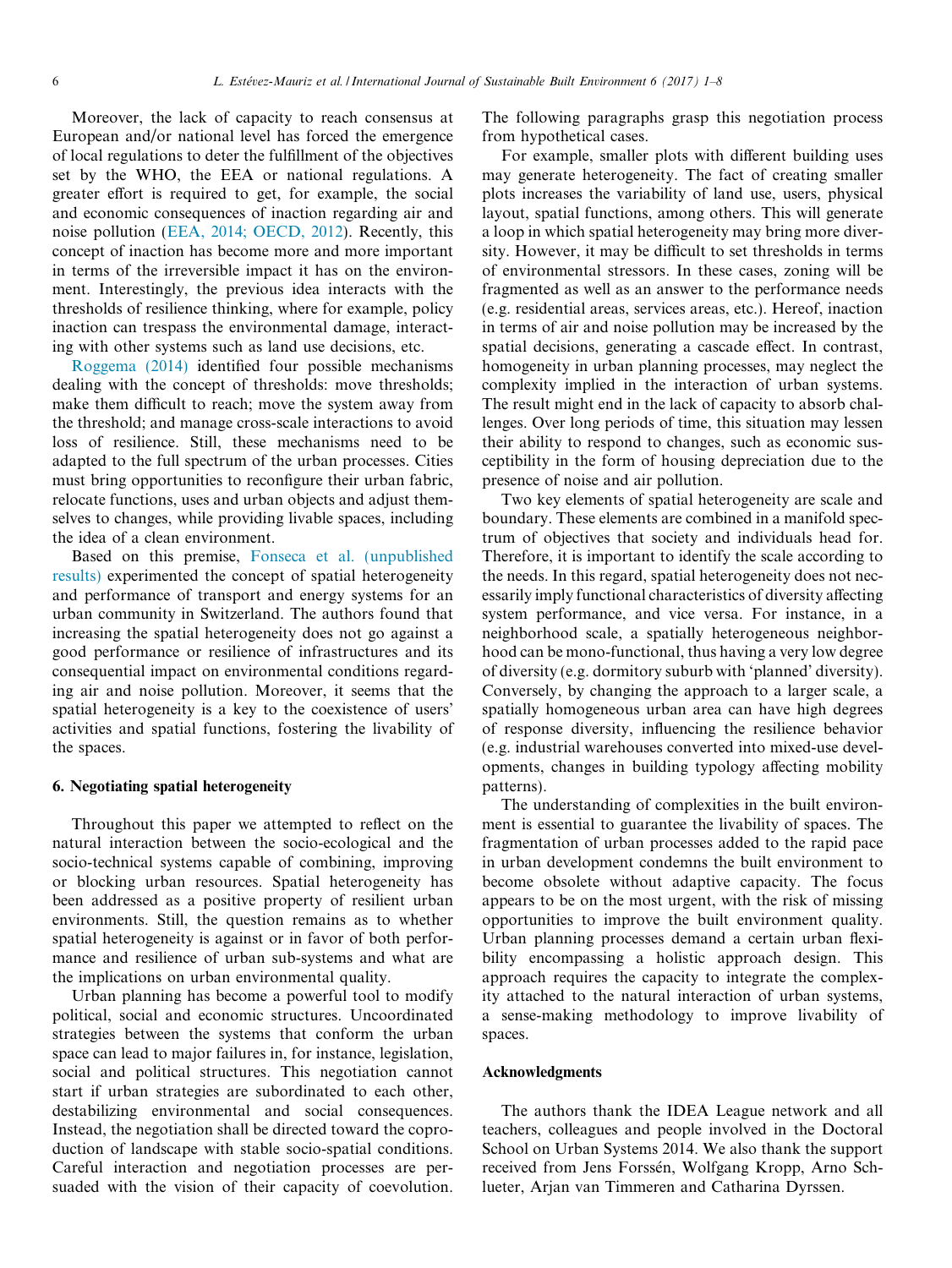Moreover, the lack of capacity to reach consensus at European and/or national level has forced the emergence of local regulations to deter the fulfillment of the objectives set by the WHO, the EEA or national regulations. A greater effort is required to get, for example, the social and economic consequences of inaction regarding air and noise pollution ([EEA, 2014; OECD, 2012\)](#page-7-0). Recently, this concept of inaction has become more and more important in terms of the irreversible impact it has on the environment. Interestingly, the previous idea interacts with the thresholds of resilience thinking, where for example, policy inaction can trespass the environmental damage, interacting with other systems such as land use decisions, etc.

[Roggema \(2014\)](#page-7-0) identified four possible mechanisms dealing with the concept of thresholds: move thresholds; make them difficult to reach; move the system away from the threshold; and manage cross-scale interactions to avoid loss of resilience. Still, these mechanisms need to be adapted to the full spectrum of the urban processes. Cities must bring opportunities to reconfigure their urban fabric, relocate functions, uses and urban objects and adjust themselves to changes, while providing livable spaces, including the idea of a clean environment.

Based on this premise, [Fonseca et al. \(unpublished](#page-7-0) [results\)](#page-7-0) experimented the concept of spatial heterogeneity and performance of transport and energy systems for an urban community in Switzerland. The authors found that increasing the spatial heterogeneity does not go against a good performance or resilience of infrastructures and its consequential impact on environmental conditions regarding air and noise pollution. Moreover, it seems that the spatial heterogeneity is a key to the coexistence of users' activities and spatial functions, fostering the livability of the spaces.

#### 6. Negotiating spatial heterogeneity

Throughout this paper we attempted to reflect on the natural interaction between the socio-ecological and the socio-technical systems capable of combining, improving or blocking urban resources. Spatial heterogeneity has been addressed as a positive property of resilient urban environments. Still, the question remains as to whether spatial heterogeneity is against or in favor of both performance and resilience of urban sub-systems and what are the implications on urban environmental quality.

Urban planning has become a powerful tool to modify political, social and economic structures. Uncoordinated strategies between the systems that conform the urban space can lead to major failures in, for instance, legislation, social and political structures. This negotiation cannot start if urban strategies are subordinated to each other, destabilizing environmental and social consequences. Instead, the negotiation shall be directed toward the coproduction of landscape with stable socio-spatial conditions. Careful interaction and negotiation processes are persuaded with the vision of their capacity of coevolution.

The following paragraphs grasp this negotiation process from hypothetical cases.

For example, smaller plots with different building uses may generate heterogeneity. The fact of creating smaller plots increases the variability of land use, users, physical layout, spatial functions, among others. This will generate a loop in which spatial heterogeneity may bring more diversity. However, it may be difficult to set thresholds in terms of environmental stressors. In these cases, zoning will be fragmented as well as an answer to the performance needs (e.g. residential areas, services areas, etc.). Hereof, inaction in terms of air and noise pollution may be increased by the spatial decisions, generating a cascade effect. In contrast, homogeneity in urban planning processes, may neglect the complexity implied in the interaction of urban systems. The result might end in the lack of capacity to absorb challenges. Over long periods of time, this situation may lessen their ability to respond to changes, such as economic susceptibility in the form of housing depreciation due to the presence of noise and air pollution.

Two key elements of spatial heterogeneity are scale and boundary. These elements are combined in a manifold spectrum of objectives that society and individuals head for. Therefore, it is important to identify the scale according to the needs. In this regard, spatial heterogeneity does not necessarily imply functional characteristics of diversity affecting system performance, and vice versa. For instance, in a neighborhood scale, a spatially heterogeneous neighborhood can be mono-functional, thus having a very low degree of diversity (e.g. dormitory suburb with 'planned' diversity). Conversely, by changing the approach to a larger scale, a spatially homogeneous urban area can have high degrees of response diversity, influencing the resilience behavior (e.g. industrial warehouses converted into mixed-use developments, changes in building typology affecting mobility patterns).

The understanding of complexities in the built environment is essential to guarantee the livability of spaces. The fragmentation of urban processes added to the rapid pace in urban development condemns the built environment to become obsolete without adaptive capacity. The focus appears to be on the most urgent, with the risk of missing opportunities to improve the built environment quality. Urban planning processes demand a certain urban flexibility encompassing a holistic approach design. This approach requires the capacity to integrate the complexity attached to the natural interaction of urban systems, a sense-making methodology to improve livability of spaces.

#### Acknowledgments

The authors thank the IDEA League network and all teachers, colleagues and people involved in the Doctoral School on Urban Systems 2014. We also thank the support received from Jens Forssén, Wolfgang Kropp, Arno Schlueter, Arjan van Timmeren and Catharina Dyrssen.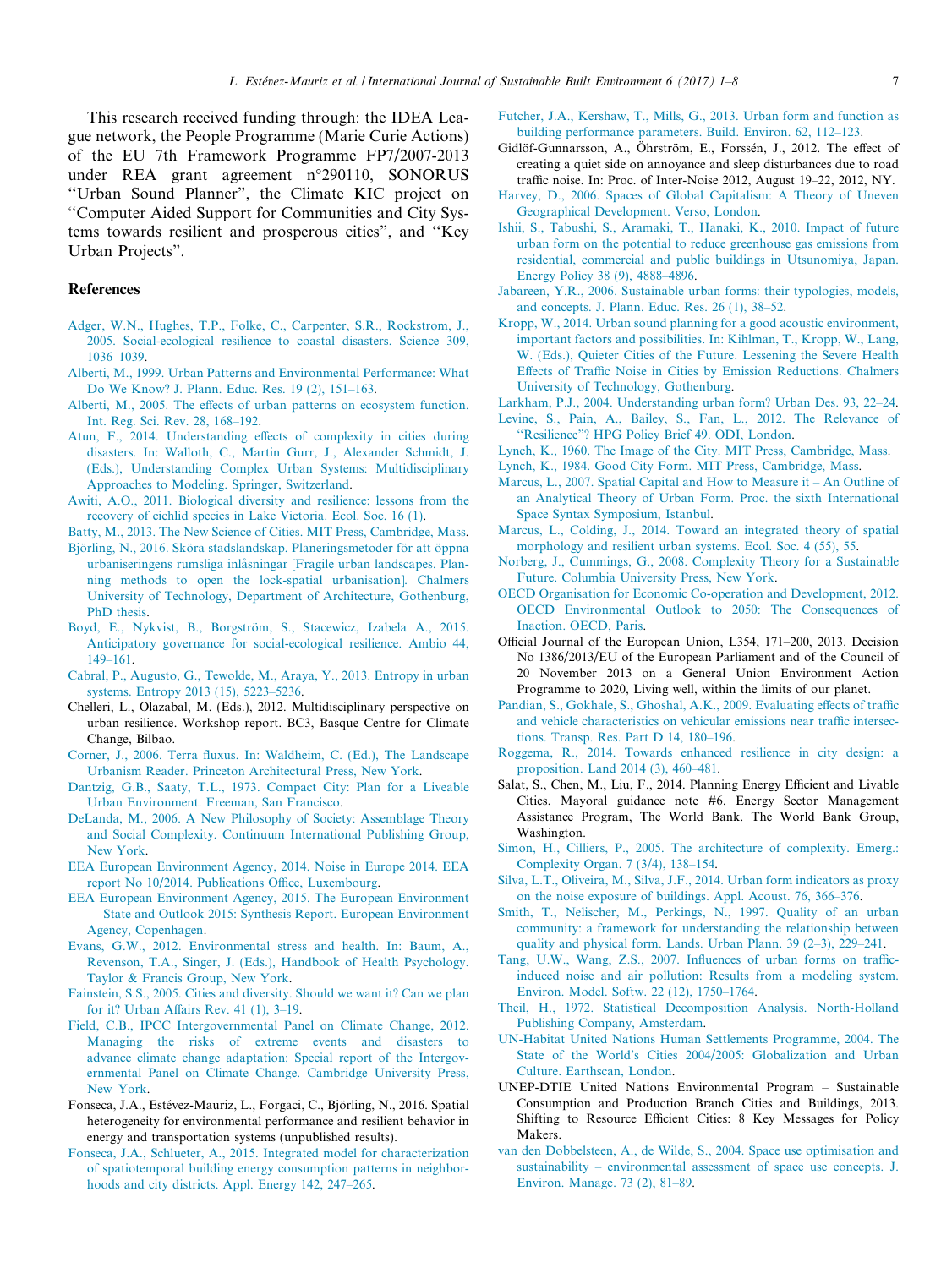<span id="page-7-0"></span>This research received funding through: the IDEA League network, the People Programme (Marie Curie Actions) of the EU 7th Framework Programme FP7/2007-2013 under REA grant agreement n°290110, SONORUS ''Urban Sound Planner", the Climate KIC project on ''Computer Aided Support for Communities and City Systems towards resilient and prosperous cities", and ''Key Urban Projects".

#### References

- [Adger, W.N., Hughes, T.P., Folke, C., Carpenter, S.R., Rockstrom, J.,](http://refhub.elsevier.com/S2212-6090(16)30012-7/h0005) [2005. Social-ecological resilience to coastal disasters. Science 309,](http://refhub.elsevier.com/S2212-6090(16)30012-7/h0005) [1036–1039](http://refhub.elsevier.com/S2212-6090(16)30012-7/h0005).
- [Alberti, M., 1999. Urban Patterns and Environmental Performance: What](http://refhub.elsevier.com/S2212-6090(16)30012-7/h0010) [Do We Know? J. Plann. Educ. Res. 19 \(2\), 151–163.](http://refhub.elsevier.com/S2212-6090(16)30012-7/h0010)
- [Alberti, M., 2005. The effects of urban patterns on ecosystem function.](http://refhub.elsevier.com/S2212-6090(16)30012-7/h0015) [Int. Reg. Sci. Rev. 28, 168–192.](http://refhub.elsevier.com/S2212-6090(16)30012-7/h0015)
- [Atun, F., 2014. Understanding effects of complexity in cities during](http://refhub.elsevier.com/S2212-6090(16)30012-7/h0020) [disasters. In: Walloth, C., Martin Gurr, J., Alexander Schmidt, J.](http://refhub.elsevier.com/S2212-6090(16)30012-7/h0020) [\(Eds.\), Understanding Complex Urban Systems: Multidisciplinary](http://refhub.elsevier.com/S2212-6090(16)30012-7/h0020) [Approaches to Modeling. Springer, Switzerland.](http://refhub.elsevier.com/S2212-6090(16)30012-7/h0020)
- [Awiti, A.O., 2011. Biological diversity and resilience: lessons from the](http://refhub.elsevier.com/S2212-6090(16)30012-7/h0025) [recovery of cichlid species in Lake Victoria. Ecol. Soc. 16 \(1\).](http://refhub.elsevier.com/S2212-6090(16)30012-7/h0025)

[Batty, M., 2013. The New Science of Cities. MIT Press, Cambridge, Mass](http://refhub.elsevier.com/S2212-6090(16)30012-7/h0030).

- Björling, N., 2016. Sköra stadslandskap. Planeringsmetoder för att öppna urbaniseringens rumsliga inlåsningar [Fragile urban landscapes. Plan[ning methods to open the lock-spatial urbanisation\]. Chalmers](http://refhub.elsevier.com/S2212-6090(16)30012-7/h0035) [University of Technology, Department of Architecture, Gothenburg,](http://refhub.elsevier.com/S2212-6090(16)30012-7/h0035) [PhD thesis.](http://refhub.elsevier.com/S2212-6090(16)30012-7/h0035)
- Boyd, E., Nykvist, B., Borgström, S., Stacewicz, Izabela A., 2015. [Anticipatory governance for social-ecological resilience. Ambio 44,](http://refhub.elsevier.com/S2212-6090(16)30012-7/h0040) [149–161](http://refhub.elsevier.com/S2212-6090(16)30012-7/h0040).
- [Cabral, P., Augusto, G., Tewolde, M., Araya, Y., 2013. Entropy in urban](http://refhub.elsevier.com/S2212-6090(16)30012-7/h0045) [systems. Entropy 2013 \(15\), 5223–5236](http://refhub.elsevier.com/S2212-6090(16)30012-7/h0045).
- Chelleri, L., Olazabal, M. (Eds.), 2012. Multidisciplinary perspective on urban resilience. Workshop report. BC3, Basque Centre for Climate Change, Bilbao.
- [Corner, J., 2006. Terra fluxus. In: Waldheim, C. \(Ed.\), The Landscape](http://refhub.elsevier.com/S2212-6090(16)30012-7/h0055) [Urbanism Reader. Princeton Architectural Press, New York](http://refhub.elsevier.com/S2212-6090(16)30012-7/h0055).
- [Dantzig, G.B., Saaty, T.L., 1973. Compact City: Plan for a Liveable](http://refhub.elsevier.com/S2212-6090(16)30012-7/h0060) [Urban Environment. Freeman, San Francisco.](http://refhub.elsevier.com/S2212-6090(16)30012-7/h0060)
- [DeLanda, M., 2006. A New Philosophy of Society: Assemblage Theory](http://refhub.elsevier.com/S2212-6090(16)30012-7/h0065) [and Social Complexity. Continuum International Publishing Group,](http://refhub.elsevier.com/S2212-6090(16)30012-7/h0065) [New York.](http://refhub.elsevier.com/S2212-6090(16)30012-7/h0065)
- [EEA European Environment Agency, 2014. Noise in Europe 2014. EEA](http://refhub.elsevier.com/S2212-6090(16)30012-7/h0070) [report No 10/2014. Publications Office, Luxembourg](http://refhub.elsevier.com/S2212-6090(16)30012-7/h0070).
- [EEA European Environment Agency, 2015. The European Environment](http://refhub.elsevier.com/S2212-6090(16)30012-7/h0075) [— State and Outlook 2015: Synthesis Report. European Environment](http://refhub.elsevier.com/S2212-6090(16)30012-7/h0075) [Agency, Copenhagen](http://refhub.elsevier.com/S2212-6090(16)30012-7/h0075).
- [Evans, G.W., 2012. Environmental stress and health. In: Baum, A.,](http://refhub.elsevier.com/S2212-6090(16)30012-7/h0080) [Revenson, T.A., Singer, J. \(Eds.\), Handbook of Health Psychology.](http://refhub.elsevier.com/S2212-6090(16)30012-7/h0080) [Taylor & Francis Group, New York.](http://refhub.elsevier.com/S2212-6090(16)30012-7/h0080)
- [Fainstein, S.S., 2005. Cities and diversity. Should we want it? Can we plan](http://refhub.elsevier.com/S2212-6090(16)30012-7/h0085) [for it? Urban Affairs Rev. 41 \(1\), 3–19](http://refhub.elsevier.com/S2212-6090(16)30012-7/h0085).
- [Field, C.B., IPCC Intergovernmental Panel on Climate Change, 2012.](http://refhub.elsevier.com/S2212-6090(16)30012-7/h0090) [Managing the risks of extreme events and disasters to](http://refhub.elsevier.com/S2212-6090(16)30012-7/h0090) [advance climate change adaptation: Special report of the Intergov](http://refhub.elsevier.com/S2212-6090(16)30012-7/h0090)[ernmental Panel on Climate Change. Cambridge University Press,](http://refhub.elsevier.com/S2212-6090(16)30012-7/h0090) [New York.](http://refhub.elsevier.com/S2212-6090(16)30012-7/h0090)
- Fonseca, J.A., Estévez-Mauriz, L., Forgaci, C., Björling, N., 2016. Spatial heterogeneity for environmental performance and resilient behavior in energy and transportation systems (unpublished results).
- [Fonseca, J.A., Schlueter, A., 2015. Integrated model for characterization](http://refhub.elsevier.com/S2212-6090(16)30012-7/h0100) [of spatiotemporal building energy consumption patterns in neighbor](http://refhub.elsevier.com/S2212-6090(16)30012-7/h0100)[hoods and city districts. Appl. Energy 142, 247–265.](http://refhub.elsevier.com/S2212-6090(16)30012-7/h0100)
- [Futcher, J.A., Kershaw, T., Mills, G., 2013. Urban form and function as](http://refhub.elsevier.com/S2212-6090(16)30012-7/h0105) [building performance parameters. Build. Environ. 62, 112–123](http://refhub.elsevier.com/S2212-6090(16)30012-7/h0105).
- Gidlöf-Gunnarsson, A., Öhrström, E., Forssén, J., 2012. The effect of creating a quiet side on annoyance and sleep disturbances due to road traffic noise. In: Proc. of Inter-Noise 2012, August 19–22, 2012, NY.
- [Harvey, D., 2006. Spaces of Global Capitalism: A Theory of Uneven](http://refhub.elsevier.com/S2212-6090(16)30012-7/h0115) [Geographical Development. Verso, London](http://refhub.elsevier.com/S2212-6090(16)30012-7/h0115).
- [Ishii, S., Tabushi, S., Aramaki, T., Hanaki, K., 2010. Impact of future](http://refhub.elsevier.com/S2212-6090(16)30012-7/h0120) [urban form on the potential to reduce greenhouse gas emissions from](http://refhub.elsevier.com/S2212-6090(16)30012-7/h0120) [residential, commercial and public buildings in Utsunomiya, Japan.](http://refhub.elsevier.com/S2212-6090(16)30012-7/h0120) [Energy Policy 38 \(9\), 4888–4896](http://refhub.elsevier.com/S2212-6090(16)30012-7/h0120).
- [Jabareen, Y.R., 2006. Sustainable urban forms: their typologies, models,](http://refhub.elsevier.com/S2212-6090(16)30012-7/h0125) [and concepts. J. Plann. Educ. Res. 26 \(1\), 38–52](http://refhub.elsevier.com/S2212-6090(16)30012-7/h0125).
- [Kropp, W., 2014. Urban sound planning for a good acoustic environment,](http://refhub.elsevier.com/S2212-6090(16)30012-7/h0130) [important factors and possibilities. In: Kihlman, T., Kropp, W., Lang,](http://refhub.elsevier.com/S2212-6090(16)30012-7/h0130) [W. \(Eds.\), Quieter Cities of the Future. Lessening the Severe Health](http://refhub.elsevier.com/S2212-6090(16)30012-7/h0130) [Effects of Traffic Noise in Cities by Emission Reductions. Chalmers](http://refhub.elsevier.com/S2212-6090(16)30012-7/h0130) [University of Technology, Gothenburg.](http://refhub.elsevier.com/S2212-6090(16)30012-7/h0130)
- [Larkham, P.J., 2004. Understanding urban form? Urban Des. 93, 22–24](http://refhub.elsevier.com/S2212-6090(16)30012-7/h0135).
- [Levine, S., Pain, A., Bailey, S., Fan, L., 2012. The Relevance of](http://refhub.elsevier.com/S2212-6090(16)30012-7/h0140) [''Resilience](http://refhub.elsevier.com/S2212-6090(16)30012-7/h0140)"[? HPG Policy Brief 49. ODI, London](http://refhub.elsevier.com/S2212-6090(16)30012-7/h0140).
- [Lynch, K., 1960. The Image of the City. MIT Press, Cambridge, Mass](http://refhub.elsevier.com/S2212-6090(16)30012-7/h0145).
- [Lynch, K., 1984. Good City Form. MIT Press, Cambridge, Mass](http://refhub.elsevier.com/S2212-6090(16)30012-7/h0150).
- [Marcus, L., 2007. Spatial Capital and How to Measure it An Outline of](http://refhub.elsevier.com/S2212-6090(16)30012-7/h0155) [an Analytical Theory of Urban Form. Proc. the sixth International](http://refhub.elsevier.com/S2212-6090(16)30012-7/h0155) [Space Syntax Symposium, Istanbul.](http://refhub.elsevier.com/S2212-6090(16)30012-7/h0155)
- [Marcus, L., Colding, J., 2014. Toward an integrated theory of spatial](http://refhub.elsevier.com/S2212-6090(16)30012-7/h0160) [morphology and resilient urban systems. Ecol. Soc. 4 \(55\), 55.](http://refhub.elsevier.com/S2212-6090(16)30012-7/h0160)
- [Norberg, J., Cummings, G., 2008. Complexity Theory for a Sustainable](http://refhub.elsevier.com/S2212-6090(16)30012-7/h0165) [Future. Columbia University Press, New York.](http://refhub.elsevier.com/S2212-6090(16)30012-7/h0165)
- [OECD Organisation for Economic Co-operation and Development, 2012.](http://refhub.elsevier.com/S2212-6090(16)30012-7/h0170) [OECD Environmental Outlook to 2050: The Consequences of](http://refhub.elsevier.com/S2212-6090(16)30012-7/h0170) [Inaction. OECD, Paris](http://refhub.elsevier.com/S2212-6090(16)30012-7/h0170).
- Official Journal of the European Union, L354, 171–200, 2013. Decision No 1386/2013/EU of the European Parliament and of the Council of 20 November 2013 on a General Union Environment Action Programme to 2020, Living well, within the limits of our planet.
- [Pandian, S., Gokhale, S., Ghoshal, A.K., 2009. Evaluating effects of traffic](http://refhub.elsevier.com/S2212-6090(16)30012-7/h0180) [and vehicle characteristics on vehicular emissions near traffic intersec](http://refhub.elsevier.com/S2212-6090(16)30012-7/h0180)[tions. Transp. Res. Part D 14, 180–196](http://refhub.elsevier.com/S2212-6090(16)30012-7/h0180).
- [Roggema, R., 2014. Towards enhanced resilience in city design: a](http://refhub.elsevier.com/S2212-6090(16)30012-7/h0185) [proposition. Land 2014 \(3\), 460–481.](http://refhub.elsevier.com/S2212-6090(16)30012-7/h0185)
- Salat, S., Chen, M., Liu, F., 2014. Planning Energy Efficient and Livable Cities. Mayoral guidance note #6. Energy Sector Management Assistance Program, The World Bank. The World Bank Group, Washington.
- [Simon, H., Cilliers, P., 2005. The architecture of complexity. Emerg.:](http://refhub.elsevier.com/S2212-6090(16)30012-7/h0195) [Complexity Organ. 7 \(3/4\), 138–154](http://refhub.elsevier.com/S2212-6090(16)30012-7/h0195).
- [Silva, L.T., Oliveira, M., Silva, J.F., 2014. Urban form indicators as proxy](http://refhub.elsevier.com/S2212-6090(16)30012-7/h0200) [on the noise exposure of buildings. Appl. Acoust. 76, 366–376.](http://refhub.elsevier.com/S2212-6090(16)30012-7/h0200)
- [Smith, T., Nelischer, M., Perkings, N., 1997. Quality of an urban](http://refhub.elsevier.com/S2212-6090(16)30012-7/h0205) [community: a framework for understanding the relationship between](http://refhub.elsevier.com/S2212-6090(16)30012-7/h0205) [quality and physical form. Lands. Urban Plann. 39 \(2–3\), 229–241.](http://refhub.elsevier.com/S2212-6090(16)30012-7/h0205)
- [Tang, U.W., Wang, Z.S., 2007. Influences of urban forms on traffic](http://refhub.elsevier.com/S2212-6090(16)30012-7/h0210)[induced noise and air pollution: Results from a modeling system.](http://refhub.elsevier.com/S2212-6090(16)30012-7/h0210) [Environ. Model. Softw. 22 \(12\), 1750–1764](http://refhub.elsevier.com/S2212-6090(16)30012-7/h0210).
- [Theil, H., 1972. Statistical Decomposition Analysis. North-Holland](http://refhub.elsevier.com/S2212-6090(16)30012-7/h0215) [Publishing Company, Amsterdam.](http://refhub.elsevier.com/S2212-6090(16)30012-7/h0215)
- [UN-Habitat United Nations Human Settlements Programme, 2004. The](http://refhub.elsevier.com/S2212-6090(16)30012-7/h0220) [State of the World's Cities 2004/2005: Globalization and Urban](http://refhub.elsevier.com/S2212-6090(16)30012-7/h0220) [Culture. Earthscan, London](http://refhub.elsevier.com/S2212-6090(16)30012-7/h0220).
- UNEP-DTIE United Nations Environmental Program Sustainable Consumption and Production Branch Cities and Buildings, 2013. Shifting to Resource Efficient Cities: 8 Key Messages for Policy Makers.
- [van den Dobbelsteen, A., de Wilde, S., 2004. Space use optimisation and](http://refhub.elsevier.com/S2212-6090(16)30012-7/h0230) [sustainability – environmental assessment of space use concepts. J.](http://refhub.elsevier.com/S2212-6090(16)30012-7/h0230) [Environ. Manage. 73 \(2\), 81–89.](http://refhub.elsevier.com/S2212-6090(16)30012-7/h0230)